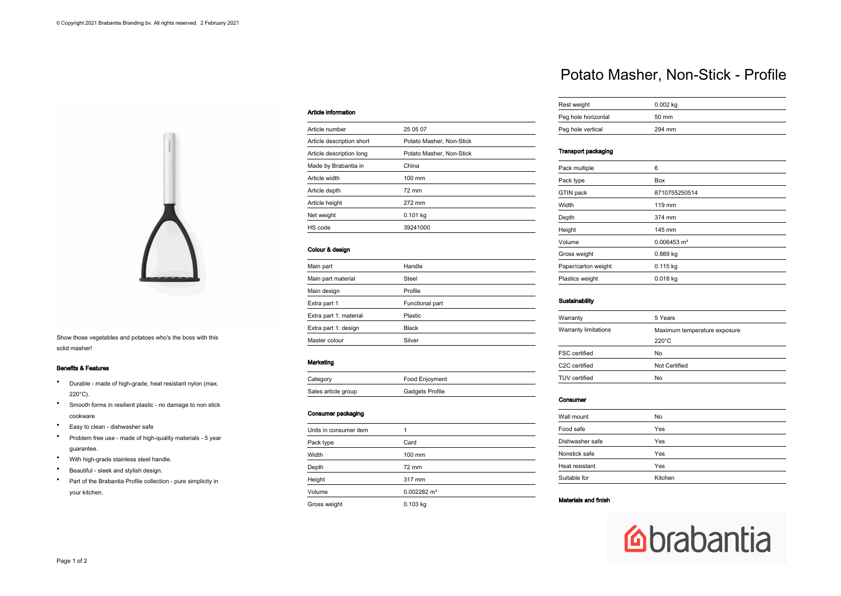

Show those vegetables and potatoes who's the boss with this solid masher!

## Benefits & Features

- Durable made of high-grade, heat resistant nylon (max. 220°C).
- Smooth forms in resilient plastic no damage to non stick cookware
- Easy to clean dishwasher safe
- Problem free use made of high-quality materials 5 year guarantee.
- With high-grade stainless steel handle.
- Beautiful sleek and stylish design.
- Part of the Brabantia Profile collection pure simplicity in your kitchen.

## Article information

| Article number            | 25 05 07                 |
|---------------------------|--------------------------|
| Article description short | Potato Masher, Non-Stick |
| Article description long  | Potato Masher, Non-Stick |
| Made by Brabantia in      | China                    |
| Article width             | $100 \text{ mm}$         |
| Article depth             | 72 mm                    |
| Article height            | 272 mm                   |
| Net weight                | $0.101$ kg               |
| HS code                   | 39241000                 |
|                           |                          |

## Colour & design

| Main part              | Handle          |
|------------------------|-----------------|
| Main part material     | Steel           |
| Main design            | Profile         |
| Extra part 1           | Functional part |
| Extra part 1: material | <b>Plastic</b>  |
| Extra part 1: design   | <b>Black</b>    |
| Master colour          | Silver          |

### Marketing

| Category            | Food Enjoyment  |
|---------------------|-----------------|
| Sales article group | Gadgets Profile |

## Consumer packaging

| Units in consumer item |                        |
|------------------------|------------------------|
| Pack type              | Card                   |
| Width                  | 100 mm                 |
| Depth                  | 72 mm                  |
| Height                 | 317 mm                 |
| Volume                 | $0.002282 \text{ m}^3$ |
| Gross weight           | $0.103$ kg             |

## Potato Masher, Non-Stick - Profile

| Rest weight         | $0.002$ kg |
|---------------------|------------|
| Peg hole horizontal | 50 mm      |
| Peg hole vertical   | 294 mm     |

## Transport packaging

| Pack multiple       | 6                         |  |
|---------------------|---------------------------|--|
| Pack type           | Box                       |  |
| GTIN pack           | 8710755250514             |  |
| Width               | 119 mm                    |  |
| Depth               | 374 mm                    |  |
| Height              | 145 mm                    |  |
| Volume              | $0.006453$ m <sup>3</sup> |  |
| Gross weight        | 0.889 kg                  |  |
| Paper/carton weight | $0.115$ kg                |  |
| Plastics weight     | $0.018$ kg                |  |
|                     |                           |  |

## Sustainability

| Warranty                   | 5 Years                      |
|----------------------------|------------------------------|
| Warranty limitations       | Maximum temperature exposure |
|                            | $220^{\circ}$ C              |
| <b>FSC</b> certified       | <b>No</b>                    |
| C <sub>2</sub> C certified | Not Certified                |
| TUV certified              | No                           |

### Consumer

| Wall mount      | No      |  |
|-----------------|---------|--|
| Food safe       | Yes     |  |
| Dishwasher safe | Yes     |  |
| Nonstick safe   | Yes     |  |
| Heat resistant  | Yes     |  |
| Suitable for    | Kitchen |  |

## Materials and finish